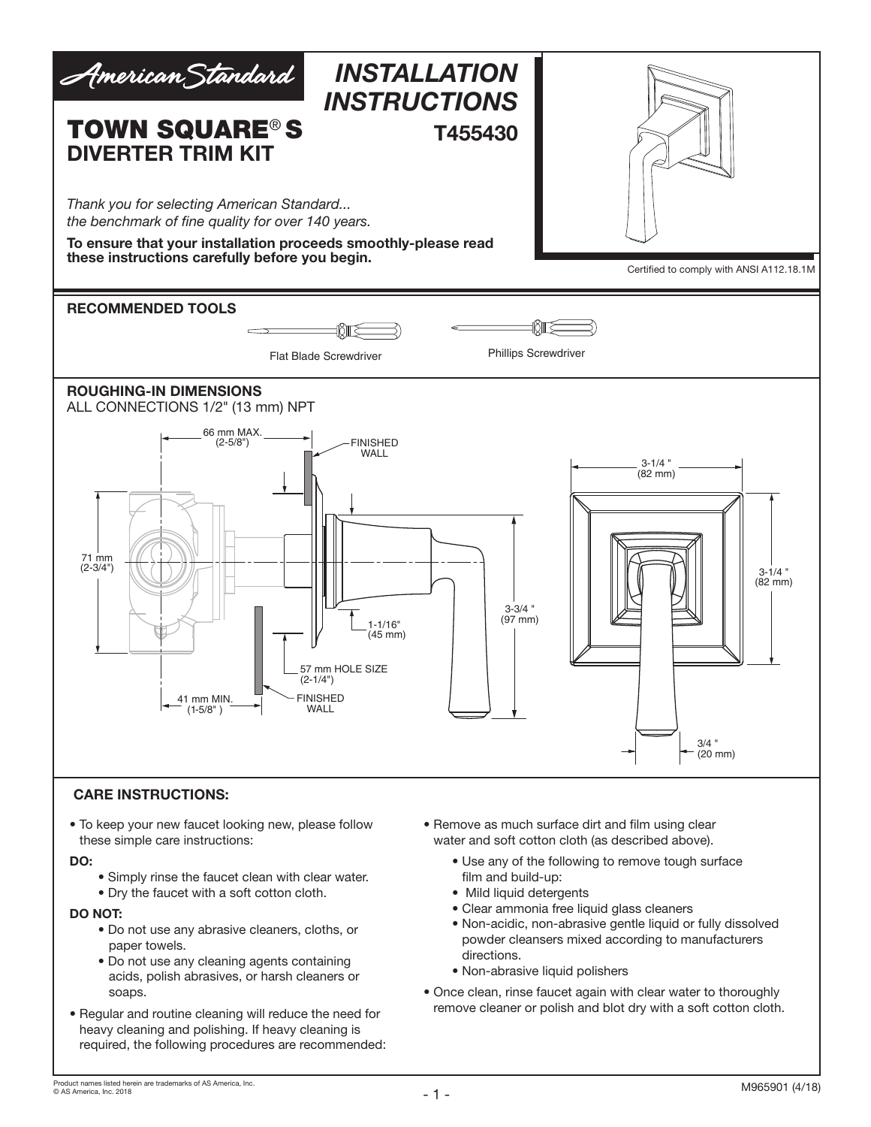

#### CARE INSTRUCTIONS:

• To keep your new faucet looking new, please follow these simple care instructions:

#### DO:

- Simply rinse the faucet clean with clear water.
- Dry the faucet with a soft cotton cloth.

#### DO NOT:

- Do not use any abrasive cleaners, cloths, or paper towels.
- Do not use any cleaning agents containing acids, polish abrasives, or harsh cleaners or soaps.
- Regular and routine cleaning will reduce the need for heavy cleaning and polishing. If heavy cleaning is required, the following procedures are recommended:
- Remove as much surface dirt and film using clear water and soft cotton cloth (as described above).
	- Use any of the following to remove tough surface film and build-up:
	- Mild liquid detergents
	- Clear ammonia free liquid glass cleaners
	- Non-acidic, non-abrasive gentle liquid or fully dissolved powder cleansers mixed according to manufacturers directions.
	- Non-abrasive liquid polishers
- Once clean, rinse faucet again with clear water to thoroughly remove cleaner or polish and blot dry with a soft cotton cloth.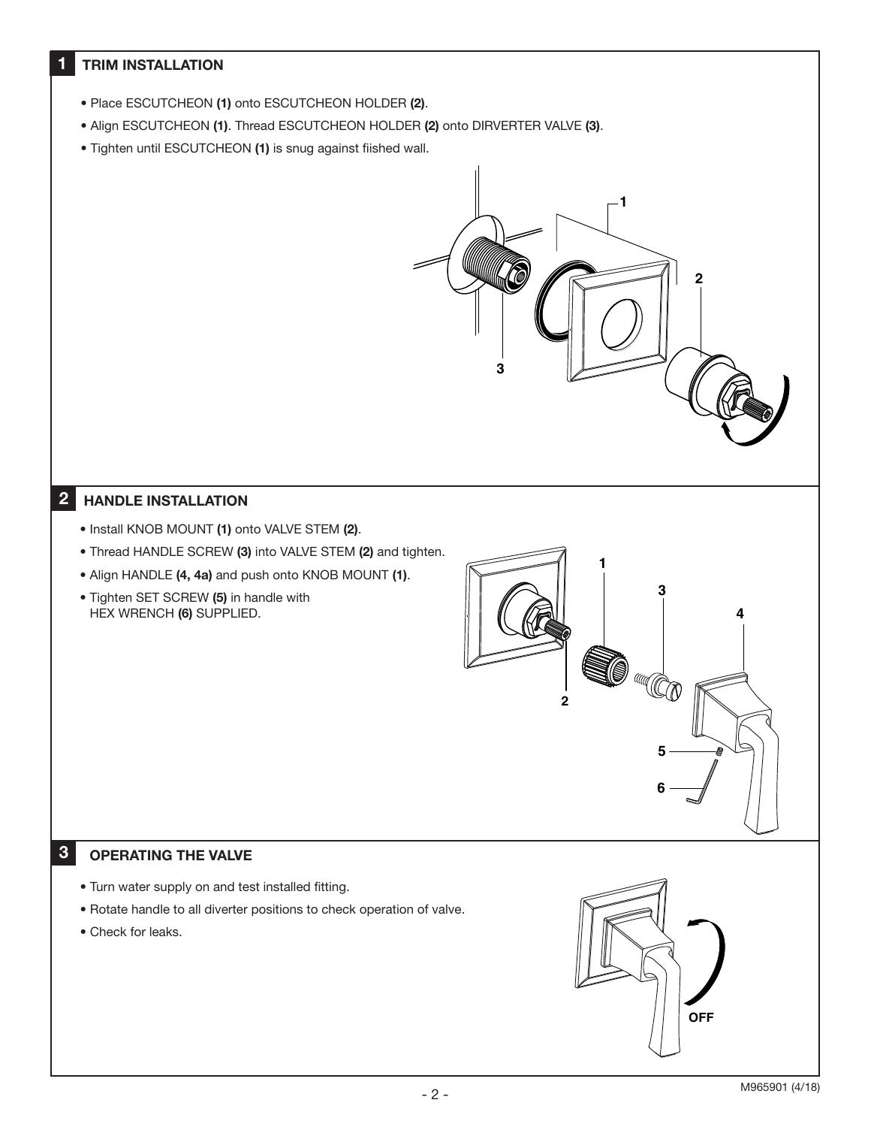# **TRIM INSTALLATION**

•

- Place ESCUTCHEON (1) onto ESCUTCHEON HOLDER (2).
- Align ESCUTCHEON (1). Thread ESCUTCHEON HOLDER (2) onto DIRVERTER VALVE (3).
- Tighten until ESCUTCHEON (1) is snug against fiished wall.



**1**

**3**

**4**

**5**

**IO HOO** 

**6**

**2**

### 2 HANDLE INSTALLATION

- Install KNOB MOUNT (1) onto VALVE STEM (2).
- Thread HANDLE SCREW (3) into VALVE STEM (2) and tighten.
- Align HANDLE (4, 4a) and push onto KNOB MOUNT (1).
- Tighten SET SCREW (5) in handle with HEX WRENCH (6) SUPPLIED.

# 3

### OPERATING THE VALVE

- Turn water supply on and test installed fitting.
- Rotate handle to all diverter positions to check operation of valve.
- Check for leaks.